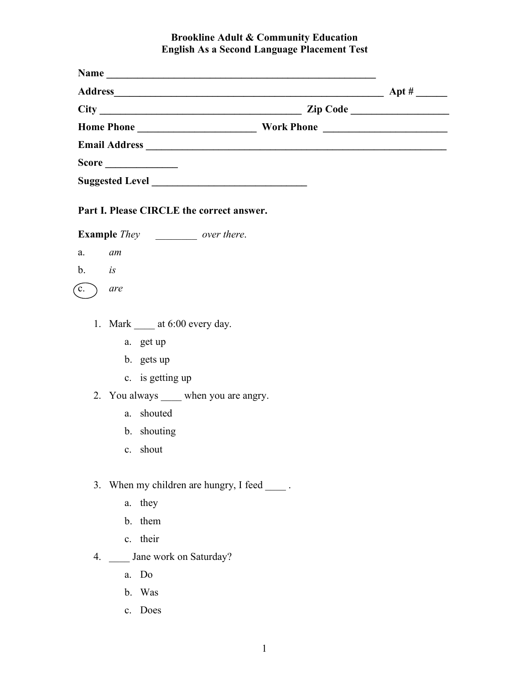## **Brookline Adult & Community Education English As a Second Language Placement Test**

|                        | Part I. Please CIRCLE the correct answer.                                                                                                                             |  |
|------------------------|-----------------------------------------------------------------------------------------------------------------------------------------------------------------------|--|
|                        | <b>Example</b> <i>They</i> over there.                                                                                                                                |  |
| a.                     | am                                                                                                                                                                    |  |
| $\mathbf{b}$ <i>is</i> |                                                                                                                                                                       |  |
| $\mathbf{\hat{c}}$ .   | are                                                                                                                                                                   |  |
|                        | 1. Mark $\_\_\$ at 6:00 every day.<br>a. get up<br>b. gets up<br>c. is getting up<br>2. You always _____ when you are angry.<br>a. shouted<br>b. shouting<br>c. shout |  |
| 3.                     | When my children are hungry, I feed ______.<br>a. they<br>b. them<br>c. their                                                                                         |  |
| 4.                     | Jane work on Saturday?                                                                                                                                                |  |
|                        | a. Do                                                                                                                                                                 |  |

- b. Was
- c. Does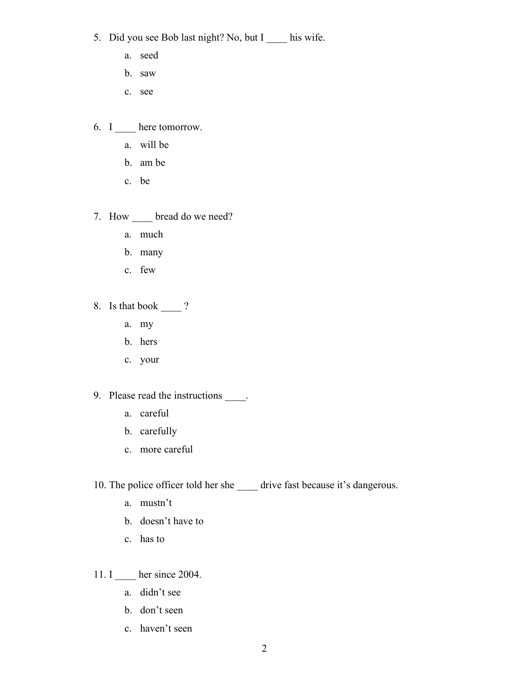- 5. Did you see Bob last night? No, but I \_\_\_\_\_ his wife.
	- a. seed
	- b. saw
	- c. see
- 6. I \_\_\_\_ here tomorrow.
	- a. will be
	- b. am be
	- c. be
- 7. How \_\_\_\_ bread do we need?
	- a. much
	- b. many
	- c. few
- 8. Is that book  $\_\_\$ ?
	- a. my
	- b. hers
	- c. your
- 9. Please read the instructions \_\_\_\_\_.
	- a. careful
	- b. carefully
	- c. more careful
- 10. The police officer told her she \_\_\_\_\_ drive fast because it's dangerous.
	- a. mustn't
	- b. doesn't have to
	- c. has to

11. I her since 2004.

- a. didn't see
- b. don't seen
- c. haven't seen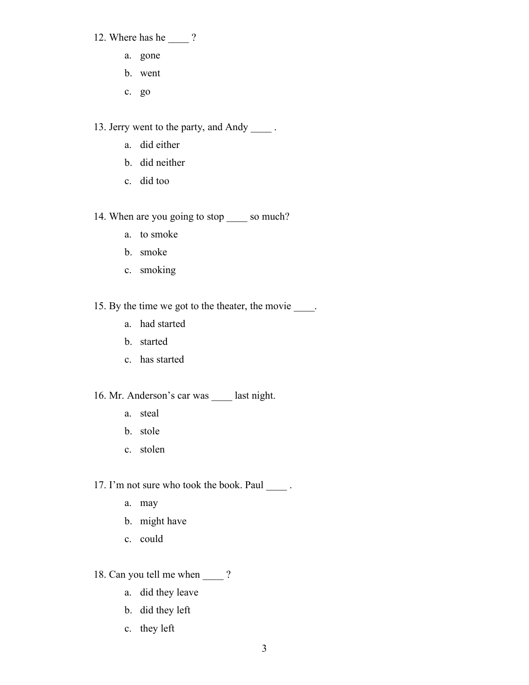- 12. Where has he \_\_\_\_ ?
	- a. gone
	- b. went
	- c. go

13. Jerry went to the party, and Andy \_\_\_\_ .

- a. did either
- b. did neither
- c. did too

14. When are you going to stop \_\_\_\_\_ so much?

- a. to smoke
- b. smoke
- c. smoking

15. By the time we got to the theater, the movie  $\_\_\_\_\$ .

- a. had started
- b. started
- c. has started

16. Mr. Anderson's car was \_\_\_\_ last night.

- a. steal
- b. stole
- c. stolen

17. I'm not sure who took the book. Paul \_\_\_\_ .

- a. may
- b. might have
- c. could

18. Can you tell me when \_\_\_\_ ?

- a. did they leave
- b. did they left
- c. they left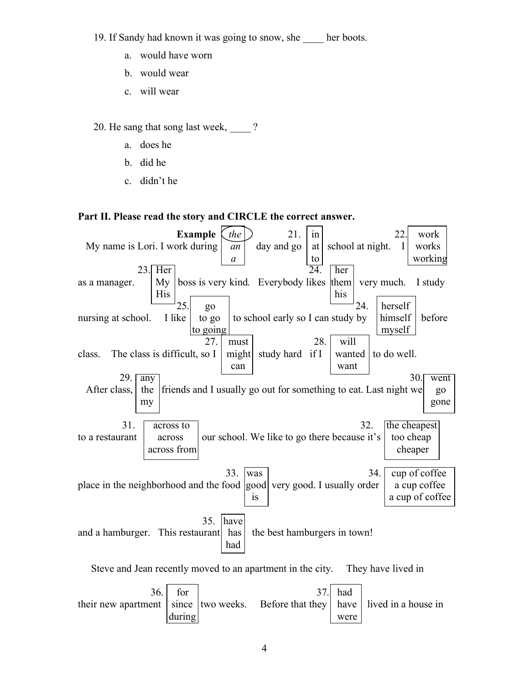19. If Sandy had known it was going to snow, she her boots.

- a. would have worn
- b. would wear
- c. will wear

20. He sang that song last week,  $\qquad$  ?

- a. does he
- b. did he
- c. didn't he

## **Part II. Please read the story and CIRCLE the correct answer.**